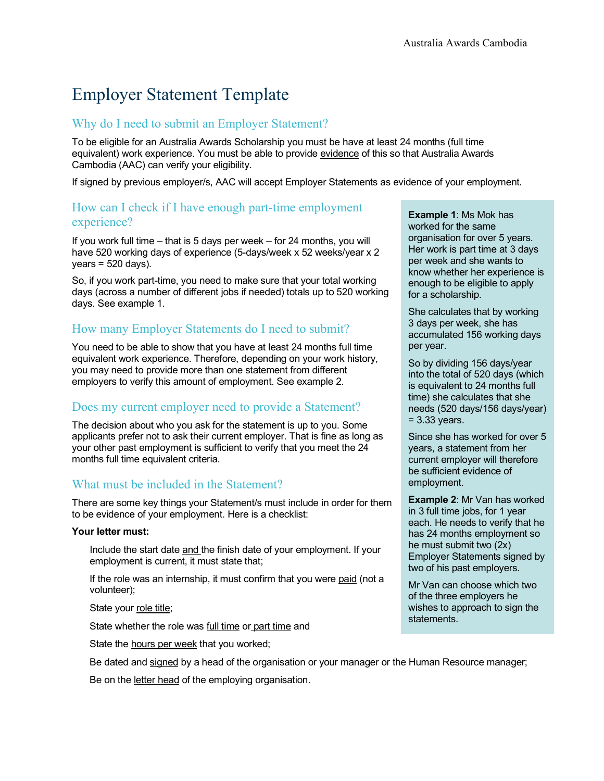# Employer Statement Template

#### Why do I need to submit an Employer Statement?

To be eligible for an Australia Awards Scholarship you must be have at least 24 months (full time equivalent) work experience. You must be able to provide evidence of this so that Australia Awards Cambodia (AAC) can verify your eligibility.

If signed by previous employer/s, AAC will accept Employer Statements as evidence of your employment.

#### How can I check if I have enough part-time employment experience?

If you work full time – that is 5 days per week – for 24 months, you will have 520 working days of experience (5-days/week x 52 weeks/year x 2  $years = 520 days$ .

So, if you work part-time, you need to make sure that your total working days (across a number of different jobs if needed) totals up to 520 working days. See example 1.

# How many Employer Statements do I need to submit?

You need to be able to show that you have at least 24 months full time equivalent work experience. Therefore, depending on your work history, you may need to provide more than one statement from different employers to verify this amount of employment. See example 2.

### Does my current employer need to provide a Statement?

The decision about who you ask for the statement is up to you. Some applicants prefer not to ask their current employer. That is fine as long as your other past employment is sufficient to verify that you meet the 24 months full time equivalent criteria.

### What must be included in the Statement?

There are some key things your Statement/s must include in order for them to be evidence of your employment. Here is a checklist:

#### **Your letter must:**

 Include the start date and the finish date of your employment. If your employment is current, it must state that;

If the role was an internship, it must confirm that you were paid (not a volunteer);

State your role title;

State whether the role was full time or part time and

State the hours per week that you worked;

Be dated and signed by a head of the organisation or your manager or the Human Resource manager;

Be on the letter head of the employing organisation.

**Example 1**: Ms Mok has worked for the same organisation for over 5 years. Her work is part time at 3 days per week and she wants to know whether her experience is enough to be eligible to apply for a scholarship.

She calculates that by working 3 days per week, she has accumulated 156 working days per year.

So by dividing 156 days/year into the total of 520 days (which is equivalent to 24 months full time) she calculates that she needs (520 days/156 days/year)  $= 3.33$  years.

Since she has worked for over 5 years, a statement from her current employer will therefore be sufficient evidence of employment.

**Example 2**: Mr Van has worked in 3 full time jobs, for 1 year each. He needs to verify that he has 24 months employment so he must submit two (2x) Employer Statements signed by two of his past employers.

Mr Van can choose which two of the three employers he wishes to approach to sign the statements.